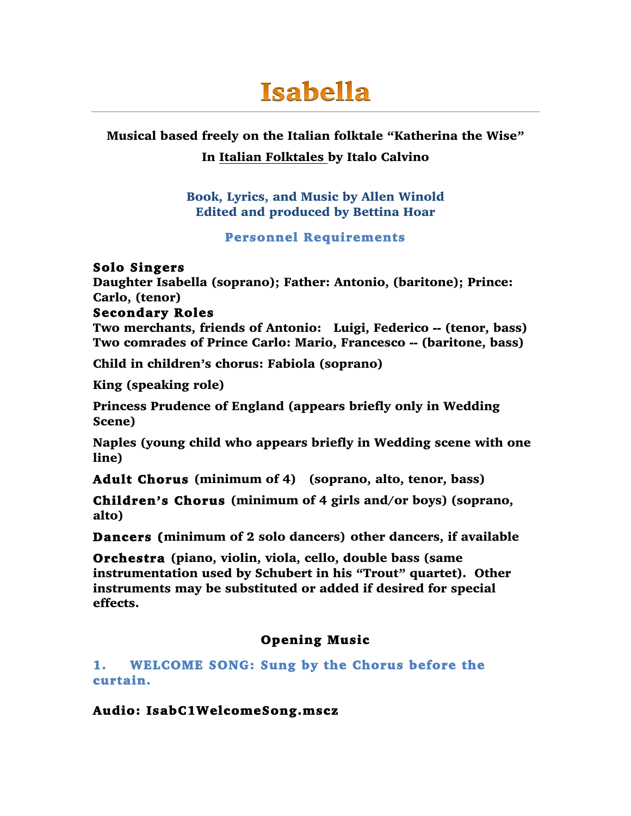# **Isabella**

### Musical based freely on the Italian folktale "Katherina the Wise" In Italian Folktales by Italo Calvino

Book, Lyrics, and Music by Allen Winold Edited and produced by Bettina Hoar

#### Personnel Requirements

### Solo Singers

Daughter Isabella (soprano); Father: Antonio, (baritone); Prince: Carlo, (tenor)

### Secondary Roles

Two merchants, friends of Antonio: Luigi, Federico -- (tenor, bass) Two comrades of Prince Carlo: Mario, Francesco -- (baritone, bass)

Child in children's chorus: Fabiola (soprano)

King (speaking role)

Princess Prudence of England (appears briefly only in Wedding Scene)

Naples (young child who appears briefly in Wedding scene with one line)

Adult Chorus (minimum of 4) (soprano, alto, tenor, bass)

Children's Chorus (minimum of 4 girls and/or boys) (soprano, alto)

Dancers (minimum of 2 solo dancers) other dancers, if available

Orchestra (piano, violin, viola, cello, double bass (same instrumentation used by Schubert in his "Trout" quartet). Other instruments may be substituted or added if desired for special effects.

### Opening Music

### 1. WELCOME SONG: Sung by the Chorus before the curtain.

### Audio: IsabC1WelcomeSong.mscz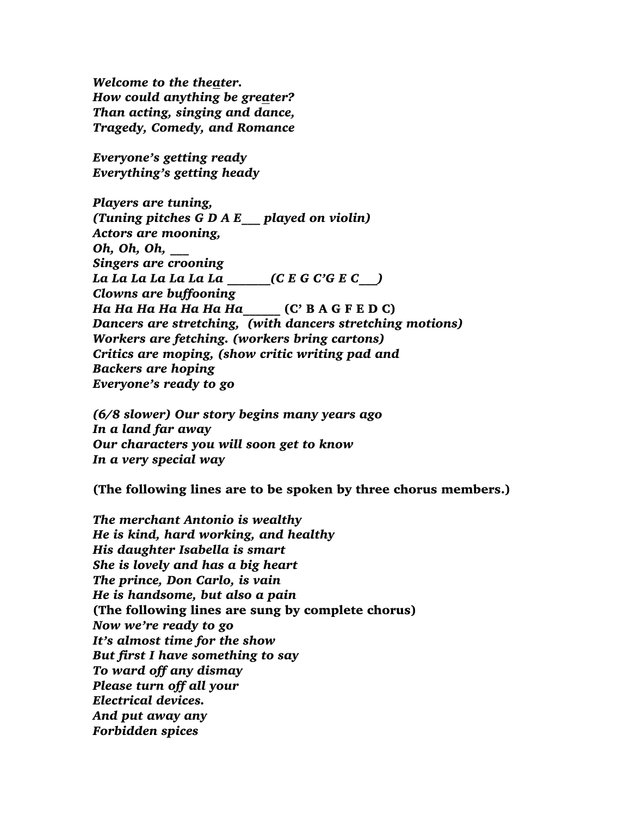*Welcome to the theater. How could anything be greater? Than acting, singing and dance, Tragedy, Comedy, and Romance*

*Everyone's getting ready Everything's getting heady*

*Players are tuning, (Tuning pitches G D A E\_\_\_ played on violin) Actors are mooning, Oh, Oh, Oh, \_\_\_ Singers are crooning La La La La La La La \_\_\_\_\_\_\_(C E G C'G E C\_\_\_) Clowns are buffooning Ha Ha Ha Ha Ha Ha Ha*\_\_\_\_\_\_ (C' B A G F E D C) *Dancers are stretching, (with dancers stretching motions) Workers are fetching. (workers bring cartons) Critics are moping, (show critic writing pad and Backers are hoping Everyone's ready to go*

*(6/8 slower) Our story begins many years ago In a land far away Our characters you will soon get to know In a very special way*

(The following lines are to be spoken by three chorus members.)

*The merchant Antonio is wealthy He is kind, hard working, and healthy His daughter Isabella is smart She is lovely and has a big heart The prince, Don Carlo, is vain He is handsome, but also a pain* (The following lines are sung by complete chorus) *Now we're ready to go It's almost time for the show But first I have something to say To ward off any dismay Please turn off all your Electrical devices. And put away any Forbidden spices*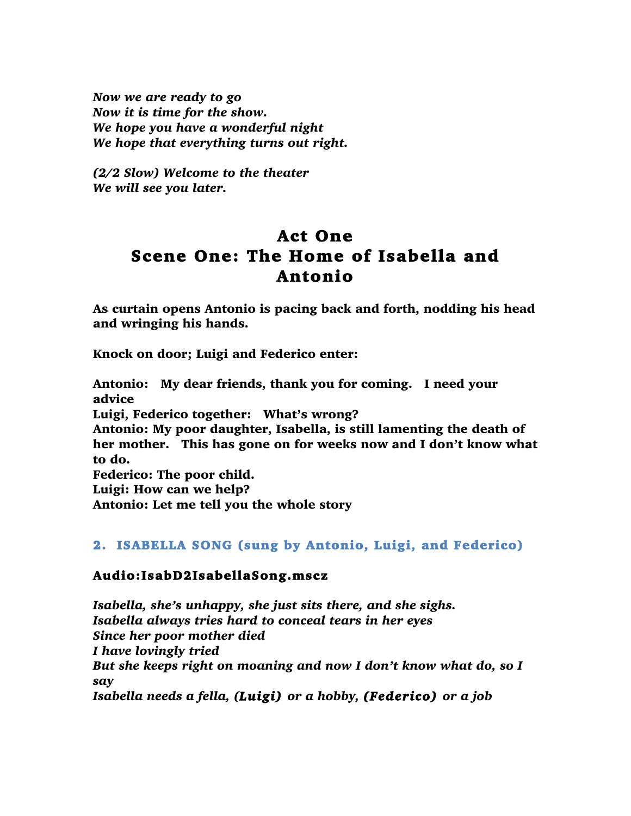*Now we are ready to go Now it is time for the show. We hope you have a wonderful night We hope that everything turns out right.*

*(2/2 Slow) Welcome to the theater We will see you later.* 

### Act One Scene One: The Home of Isabella and Antonio

As curtain opens Antonio is pacing back and forth, nodding his head and wringing his hands.

Knock on door; Luigi and Federico enter:

Antonio: My dear friends, thank you for coming. I need your advice Luigi, Federico together: What's wrong? Antonio: My poor daughter, Isabella, is still lamenting the death of her mother. This has gone on for weeks now and I don't know what to do. Federico: The poor child. Luigi: How can we help?

Antonio: Let me tell you the whole story

### 2. ISABELLA SONG (sung by Antonio, Luigi, and Federico)

### Audio:IsabD2IsabellaSong.mscz

*Isabella, she's unhappy, she just sits there, and she sighs. Isabella always tries hard to conceal tears in her eyes Since her poor mother died I have lovingly tried But she keeps right on moaning and now I don't know what do, so I say Isabella needs a fella, (Luigi) or a hobby, (Federico) or a job*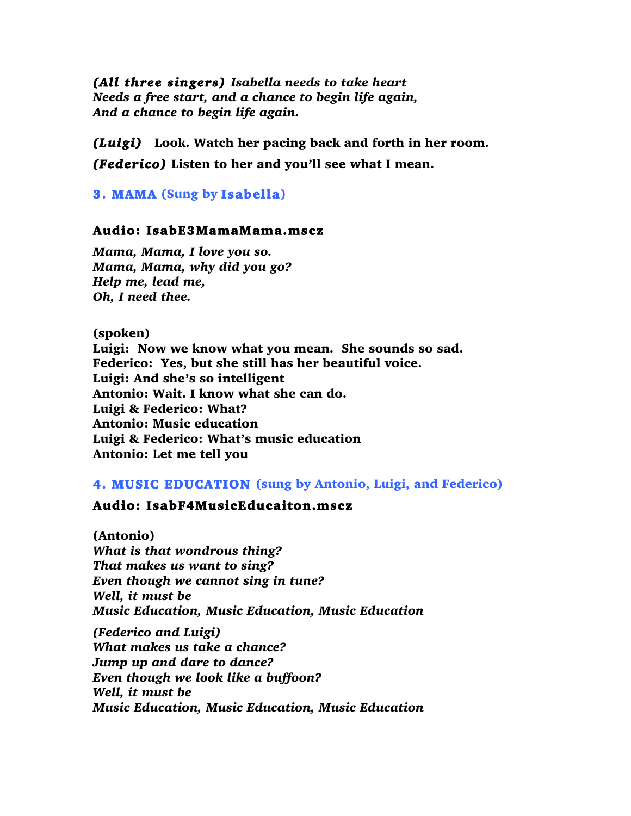*(All three singers) Isabella needs to take heart Needs a free start, and a chance to begin life again, And a chance to begin life again.*

*(Luigi)* Look. Watch her pacing back and forth in her room. *(Federico)* Listen to her and you'll see what I mean.

3. MAMA (Sung by Isabella)

#### Audio: IsabE3MamaMama.mscz

*Mama, Mama, I love you so. Mama, Mama, why did you go? Help me, lead me, Oh, I need thee.*

(spoken) Luigi: Now we know what you mean. She sounds so sad. Federico: Yes, but she still has her beautiful voice. Luigi: And she's so intelligent Antonio: Wait. I know what she can do. Luigi & Federico: What? Antonio: Music education Luigi & Federico: What's music education Antonio: Let me tell you

#### 4. MUSIC EDUCATION (sung by Antonio, Luigi, and Federico)

### Audio: IsabF4MusicEducaiton.mscz

(Antonio) *What is that wondrous thing? That makes us want to sing? Even though we cannot sing in tune? Well, it must be Music Education, Music Education, Music Education (Federico and Luigi)*

*What makes us take a chance? Jump up and dare to dance? Even though we look like a buffoon? Well, it must be Music Education, Music Education, Music Education*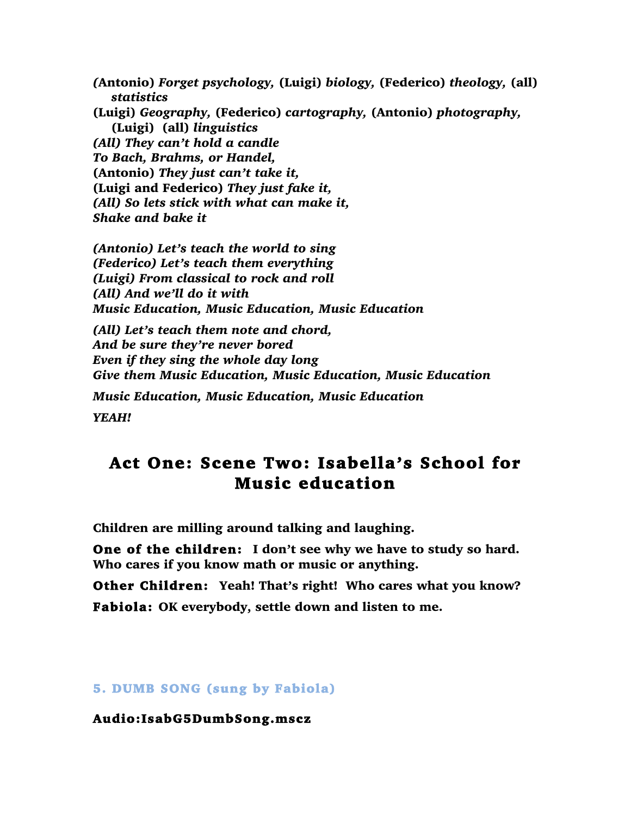*(*Antonio) *Forget psychology,* (Luigi) *biology,* (Federico) *theology,* (all) *statistics* (Luigi) *Geography,* (Federico) *cartography,* (Antonio) *photography,* (Luigi) (all) *linguistics (All) They can't hold a candle To Bach, Brahms, or Handel,*  (Antonio) *They just can't take it,*  (Luigi and Federico) *They just fake it, (All) So lets stick with what can make it, Shake and bake it*

*(Antonio) Let's teach the world to sing (Federico) Let's teach them everything (Luigi) From classical to rock and roll (All) And we'll do it with Music Education, Music Education, Music Education*

*(All) Let's teach them note and chord, And be sure they're never bored Even if they sing the whole day long Give them Music Education, Music Education, Music Education*

*Music Education, Music Education, Music Education*

*YEAH!*

### Act One: Scene Two: Isabella's School for Music education

Children are milling around talking and laughing.

One of the children: I don't see why we have to study so hard. Who cares if you know math or music or anything.

Other Children: Yeah! That's right! Who cares what you know? Fabiola: OK everybody, settle down and listen to me.

#### 5. DUMB SONG (sung by Fabiola)

Audio:IsabG5DumbSong.mscz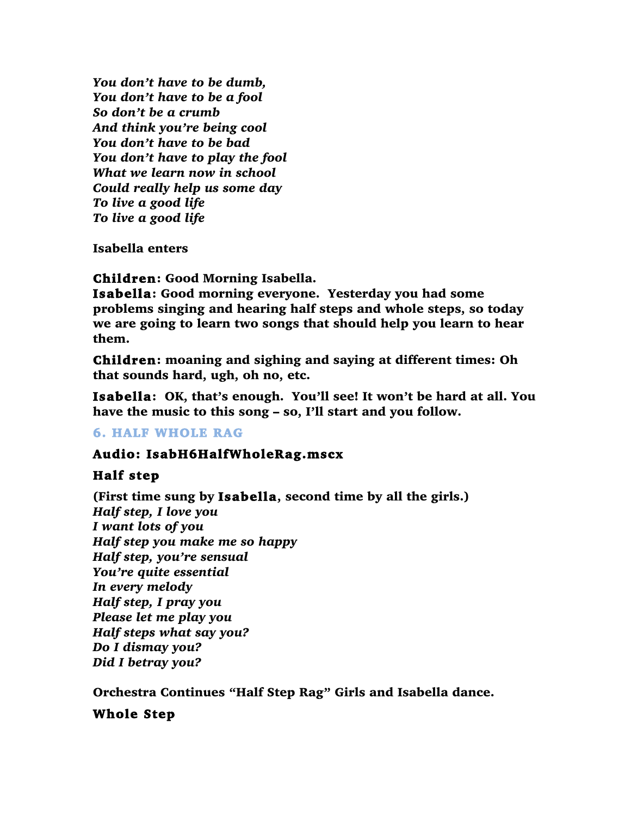*You don't have to be dumb, You don't have to be a fool So don't be a crumb And think you're being cool You don't have to be bad You don't have to play the fool What we learn now in school Could really help us some day To live a good life To live a good life*

Isabella enters

Children: Good Morning Isabella.

Isabella: Good morning everyone. Yesterday you had some problems singing and hearing half steps and whole steps, so today we are going to learn two songs that should help you learn to hear them.

Children: moaning and sighing and saying at different times: Oh that sounds hard, ugh, oh no, etc.

Isabella: OK, that's enough. You'll see! It won't be hard at all. You have the music to this song – so, I'll start and you follow.

### 6. HALF WHOLE RAG

### Audio: IsabH6HalfWholeRag.mscx

### Half step

(First time sung by Isabella, second time by all the girls.) *Half step, I love you I want lots of you Half step you make me so happy Half step, you're sensual You're quite essential In every melody Half step, I pray you Please let me play you Half steps what say you? Do I dismay you? Did I betray you?*

Orchestra Continues "Half Step Rag" Girls and Isabella dance.

### Whole Step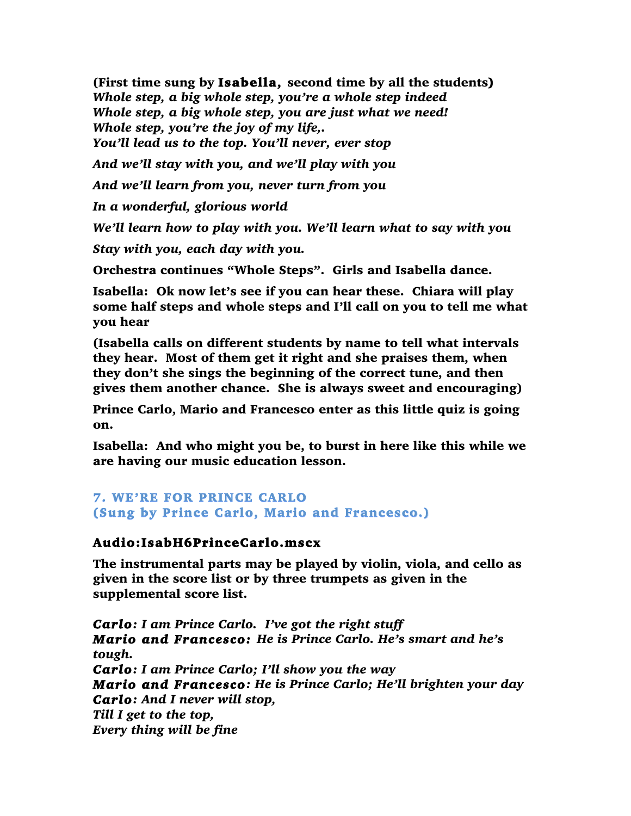(First time sung by Isabella, second time by all the students) *Whole step, a big whole step, you're a whole step indeed Whole step, a big whole step, you are just what we need! Whole step, you're the joy of my life,. You'll lead us to the top. You'll never, ever stop*

*And we'll stay with you, and we'll play with you*

*And we'll learn from you, never turn from you* 

*In a wonderful, glorious world*

*We'll learn how to play with you. We'll learn what to say with you*

*Stay with you, each day with you.*

Orchestra continues "Whole Steps". Girls and Isabella dance.

Isabella: Ok now let's see if you can hear these. Chiara will play some half steps and whole steps and I'll call on you to tell me what you hear

(Isabella calls on different students by name to tell what intervals they hear. Most of them get it right and she praises them, when they don't she sings the beginning of the correct tune, and then gives them another chance. She is always sweet and encouraging)

Prince Carlo, Mario and Francesco enter as this little quiz is going on.

Isabella: And who might you be, to burst in here like this while we are having our music education lesson.

### 7. WE'RE FOR PRINCE CARLO (Sung by Prince Carlo, Mario and Francesco.)

### Audio:IsabH6PrinceCarlo.mscx

The instrumental parts may be played by violin, viola, and cello as given in the score list or by three trumpets as given in the supplemental score list.

*Carlo: I am Prince Carlo. I've got the right stuff Mario and Francesco: He is Prince Carlo. He's smart and he's tough. Carlo: I am Prince Carlo; I'll show you the way Mario and Francesco: He is Prince Carlo; He'll brighten your day Carlo: And I never will stop, Till I get to the top, Every thing will be fine*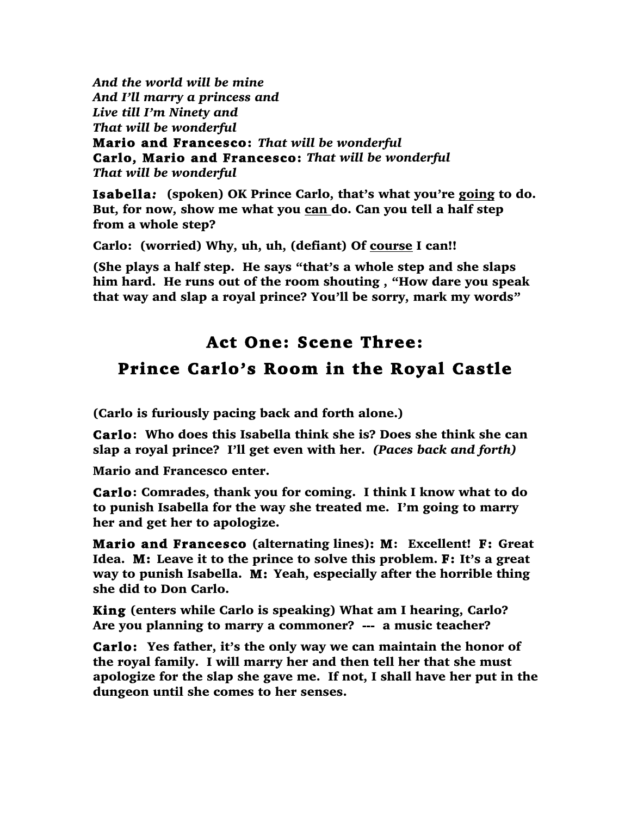*And the world will be mine And I'll marry a princess and Live till I'm Ninety and That will be wonderful* Mario and Francesco: *That will be wonderful* Carlo, Mario and Francesco: *That will be wonderful That will be wonderful*

Isabella*:* (spoken) OK Prince Carlo, that's what you're going to do. But, for now, show me what you can do. Can you tell a half step from a whole step?

Carlo: (worried) Why, uh, uh, (defiant) Of course I can!!

(She plays a half step. He says "that's a whole step and she slaps him hard. He runs out of the room shouting , "How dare you speak that way and slap a royal prince? You'll be sorry, mark my words"

## Act One: Scene Three: Prince Carlo's Room in the Royal Castle

(Carlo is furiously pacing back and forth alone.)

Carlo: Who does this Isabella think she is? Does she think she can slap a royal prince? I'll get even with her. *(Paces back and forth)*

Mario and Francesco enter.

Carlo: Comrades, thank you for coming. I think I know what to do to punish Isabella for the way she treated me. I'm going to marry her and get her to apologize.

Mario and Francesco (alternating lines): M: Excellent! F: Great Idea. M: Leave it to the prince to solve this problem. F: It's a great way to punish Isabella. M: Yeah, especially after the horrible thing she did to Don Carlo.

King (enters while Carlo is speaking) What am I hearing, Carlo? Are you planning to marry a commoner? --- a music teacher?

Carlo: Yes father, it's the only way we can maintain the honor of the royal family. I will marry her and then tell her that she must apologize for the slap she gave me. If not, I shall have her put in the dungeon until she comes to her senses.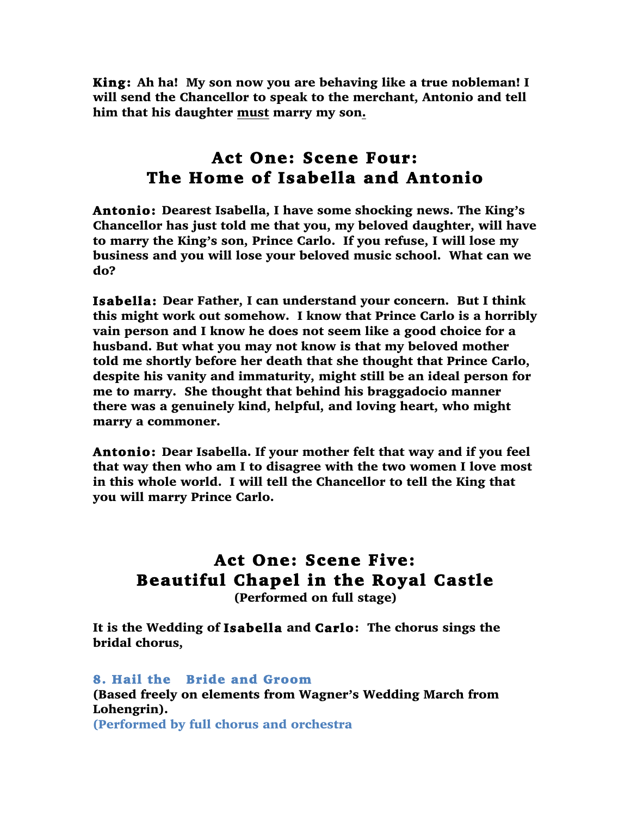King: Ah ha! My son now you are behaving like a true nobleman! I will send the Chancellor to speak to the merchant, Antonio and tell him that his daughter must marry my son.

### Act One: Scene Four: The Home of Isabella and Antonio

Antonio: Dearest Isabella, I have some shocking news. The King's Chancellor has just told me that you, my beloved daughter, will have to marry the King's son, Prince Carlo. If you refuse, I will lose my business and you will lose your beloved music school. What can we do?

Isabella: Dear Father, I can understand your concern. But I think this might work out somehow. I know that Prince Carlo is a horribly vain person and I know he does not seem like a good choice for a husband. But what you may not know is that my beloved mother told me shortly before her death that she thought that Prince Carlo, despite his vanity and immaturity, might still be an ideal person for me to marry. She thought that behind his braggadocio manner there was a genuinely kind, helpful, and loving heart, who might marry a commoner.

Antonio: Dear Isabella. If your mother felt that way and if you feel that way then who am I to disagree with the two women I love most in this whole world. I will tell the Chancellor to tell the King that you will marry Prince Carlo.

## Act One: Scene Five: Beautiful Chapel in the Royal Castle

(Performed on full stage)

It is the Wedding of Isabella and Carlo: The chorus sings the bridal chorus,

8. Hail the Bride and Groom (Based freely on elements from Wagner's Wedding March from Lohengrin). (Performed by full chorus and orchestra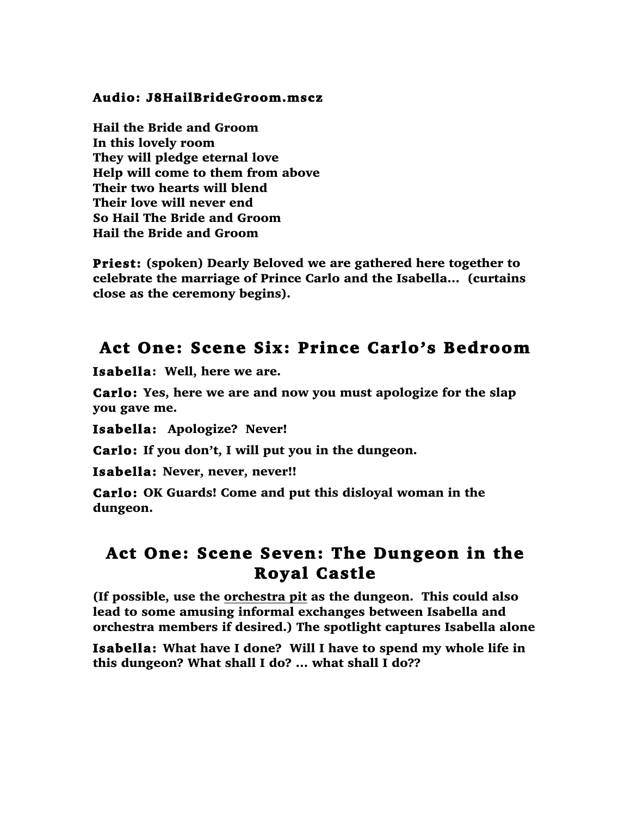### Audio: J8HailBrideGroom.mscz

Hail the Bride and Groom In this lovely room They will pledge eternal love Help will come to them from above Their two hearts will blend Their love will never end So Hail The Bride and Groom Hail the Bride and Groom

Priest: (spoken) Dearly Beloved we are gathered here together to celebrate the marriage of Prince Carlo and the Isabella… (curtains close as the ceremony begins).

### Act One: Scene Six: Prince Carlo's Bedroom

Isabella: Well, here we are.

Carlo: Yes, here we are and now you must apologize for the slap you gave me.

Isabella: Apologize? Never!

Carlo: If you don't, I will put you in the dungeon.

Isabella: Never, never, never!!

Carlo: OK Guards! Come and put this disloyal woman in the dungeon.

### Act One: Scene Seven: The Dungeon in the Royal Castle

(If possible, use the orchestra pit as the dungeon. This could also lead to some amusing informal exchanges between Isabella and orchestra members if desired.) The spotlight captures Isabella alone

Isabella: What have I done? Will I have to spend my whole life in this dungeon? What shall I do? … what shall I do??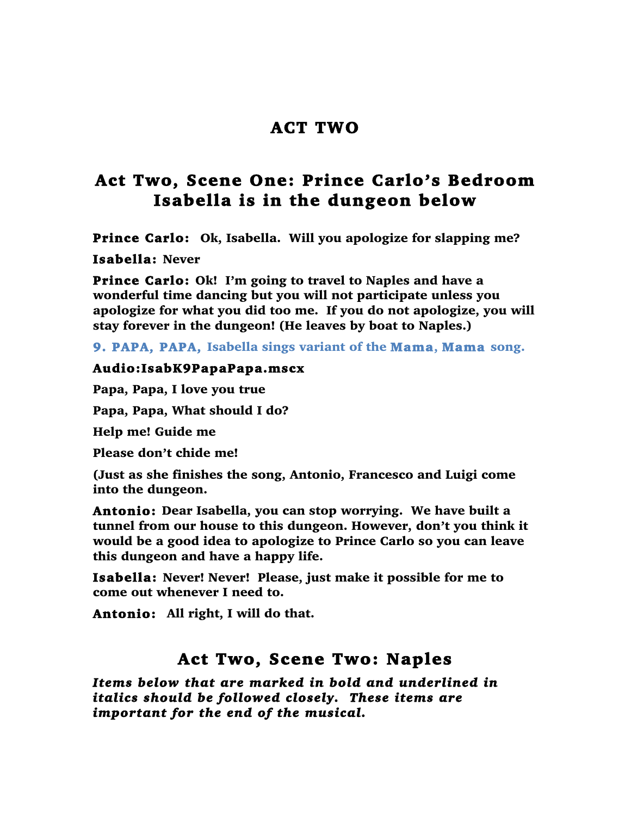### ACT TWO

### Act Two, Scene One: Prince Carlo's Bedroom Isabella is in the dungeon below

Prince Carlo: Ok, Isabella. Will you apologize for slapping me?

Isabella: Never

Prince Carlo: Ok! I'm going to travel to Naples and have a wonderful time dancing but you will not participate unless you apologize for what you did too me. If you do not apologize, you will stay forever in the dungeon! (He leaves by boat to Naples.)

9. PAPA, PAPA, Isabella sings variant of the Mama, Mama song.

#### Audio:IsabK9PapaPapa.mscx

Papa, Papa, I love you true

Papa, Papa, What should I do?

Help me! Guide me

Please don't chide me!

(Just as she finishes the song, Antonio, Francesco and Luigi come into the dungeon.

Antonio: Dear Isabella, you can stop worrying. We have built a tunnel from our house to this dungeon. However, don't you think it would be a good idea to apologize to Prince Carlo so you can leave this dungeon and have a happy life.

Isabella: Never! Never! Please, just make it possible for me to come out whenever I need to.

Antonio: All right, I will do that.

### Act Two, Scene Two: Naples

*Items below that are marked in bold and underlined in italics should be followed closely. These items are important for the end of the musical.*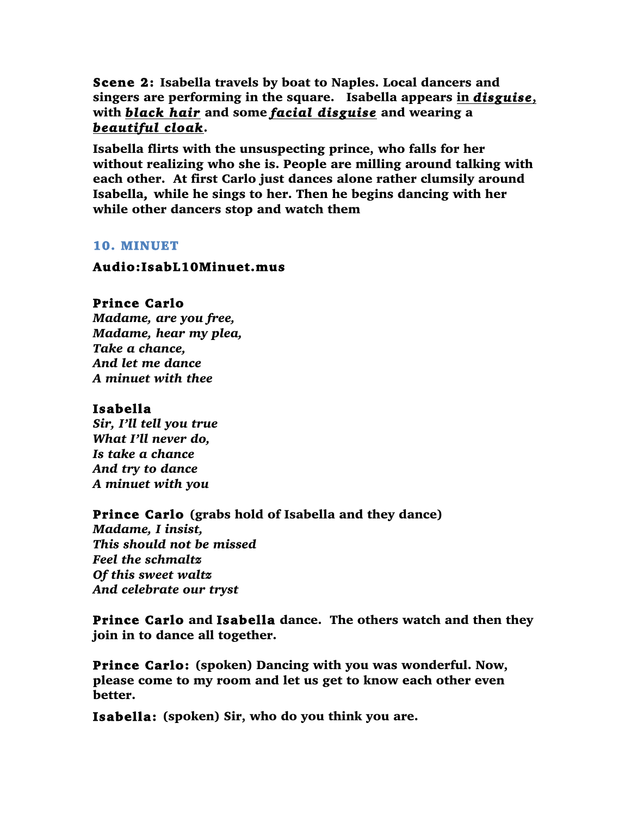Scene 2: Isabella travels by boat to Naples. Local dancers and singers are performing in the square. Isabella appears in *disguise*, with *black hair* and some *facial disguise* and wearing a *beautiful cloak*.

Isabella flirts with the unsuspecting prince, who falls for her without realizing who she is. People are milling around talking with each other. At first Carlo just dances alone rather clumsily around Isabella, while he sings to her. Then he begins dancing with her while other dancers stop and watch them

#### 10. MINUET

#### Audio:IsabL10Minuet.mus

### Prince Carlo

*Madame, are you free, Madame, hear my plea, Take a chance, And let me dance A minuet with thee*

### Isabella

*Sir, I'll tell you true What I'll never do, Is take a chance And try to dance A minuet with you*

### Prince Carlo (grabs hold of Isabella and they dance)

*Madame, I insist, This should not be missed Feel the schmaltz Of this sweet waltz And celebrate our tryst*

Prince Carlo and Isabella dance. The others watch and then they join in to dance all together.

Prince Carlo: (spoken) Dancing with you was wonderful. Now, please come to my room and let us get to know each other even better.

Isabella: (spoken) Sir, who do you think you are.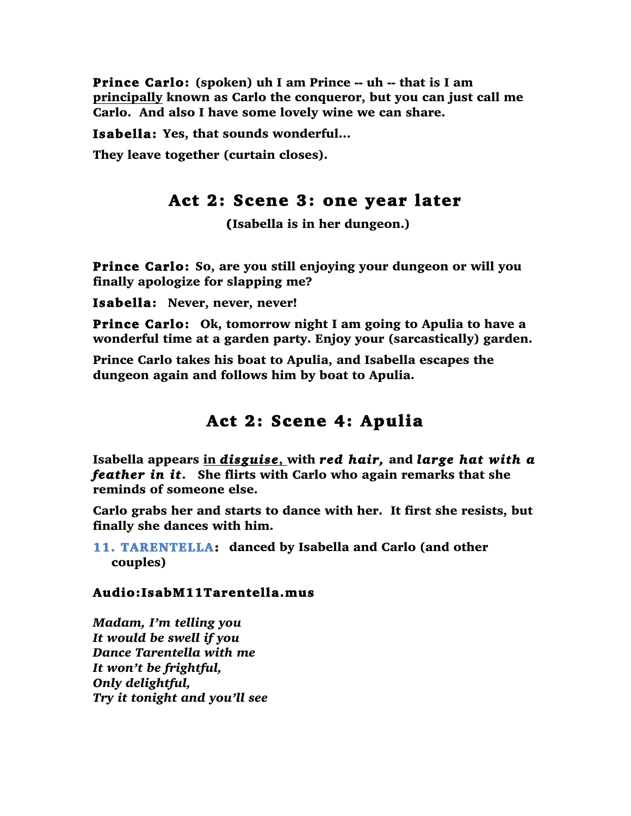Prince Carlo: (spoken) uh I am Prince -- uh -- that is I am principally known as Carlo the conqueror, but you can just call me Carlo. And also I have some lovely wine we can share.

Isabella: Yes, that sounds wonderful…

They leave together (curtain closes).

### Act 2: Scene 3: one year later

(Isabella is in her dungeon.)

Prince Carlo: So, are you still enjoying your dungeon or will you finally apologize for slapping me?

Isabella: Never, never, never!

Prince Carlo: Ok, tomorrow night I am going to Apulia to have a wonderful time at a garden party. Enjoy your (sarcastically) garden.

Prince Carlo takes his boat to Apulia, and Isabella escapes the dungeon again and follows him by boat to Apulia.

### Act 2: Scene 4: Apulia

Isabella appears in *disguise*, with *red hair,* and *large hat with a feather in it*. She flirts with Carlo who again remarks that she reminds of someone else.

Carlo grabs her and starts to dance with her. It first she resists, but finally she dances with him.

11. TARENTELLA: danced by Isabella and Carlo (and other couples)

### Audio:IsabM11Tarentella.mus

*Madam, I'm telling you It would be swell if you Dance Tarentella with me It won't be frightful, Only delightful, Try it tonight and you'll see*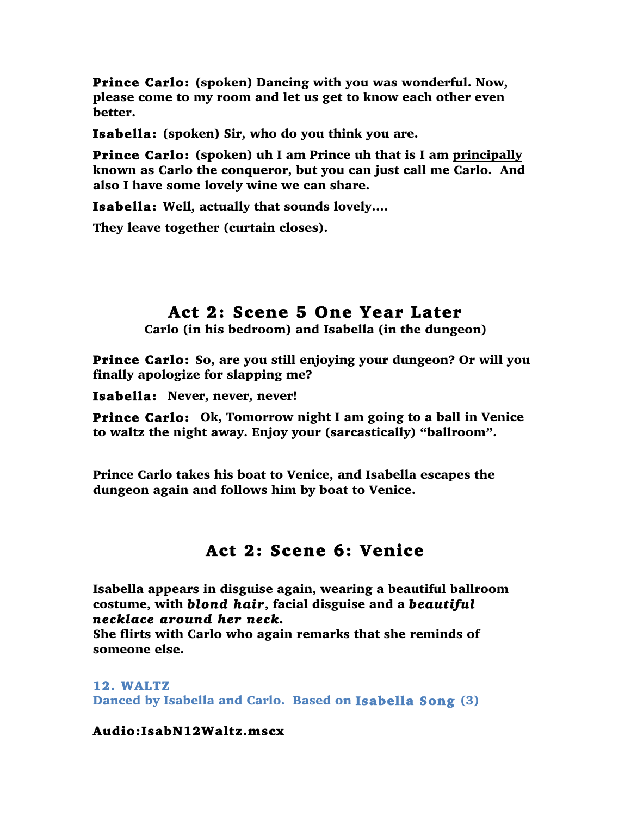Prince Carlo: (spoken) Dancing with you was wonderful. Now, please come to my room and let us get to know each other even better.

Isabella: (spoken) Sir, who do you think you are.

Prince Carlo: (spoken) uh I am Prince uh that is I am principally known as Carlo the conqueror, but you can just call me Carlo. And also I have some lovely wine we can share.

Isabella: Well, actually that sounds lovely….

They leave together (curtain closes).

# Act 2: Scene 5 One Year Later<br>Carlo (in his bedroom) and Isabella (in the dungeon)

Prince Carlo: So, are you still enjoying your dungeon? Or will you finally apologize for slapping me?

Isabella: Never, never, never!

Prince Carlo: Ok, Tomorrow night I am going to a ball in Venice to waltz the night away. Enjoy your (sarcastically) "ballroom".

Prince Carlo takes his boat to Venice, and Isabella escapes the dungeon again and follows him by boat to Venice.

### Act 2: Scene 6: Venice

Isabella appears in disguise again, wearing a beautiful ballroom costume, with *blond hair*, facial disguise and a *beautiful necklace around her neck.* 

She flirts with Carlo who again remarks that she reminds of someone else.

### 12. WALTZ

Danced by Isabella and Carlo. Based on Isabella Song (3)

### Audio:IsabN12Waltz.mscx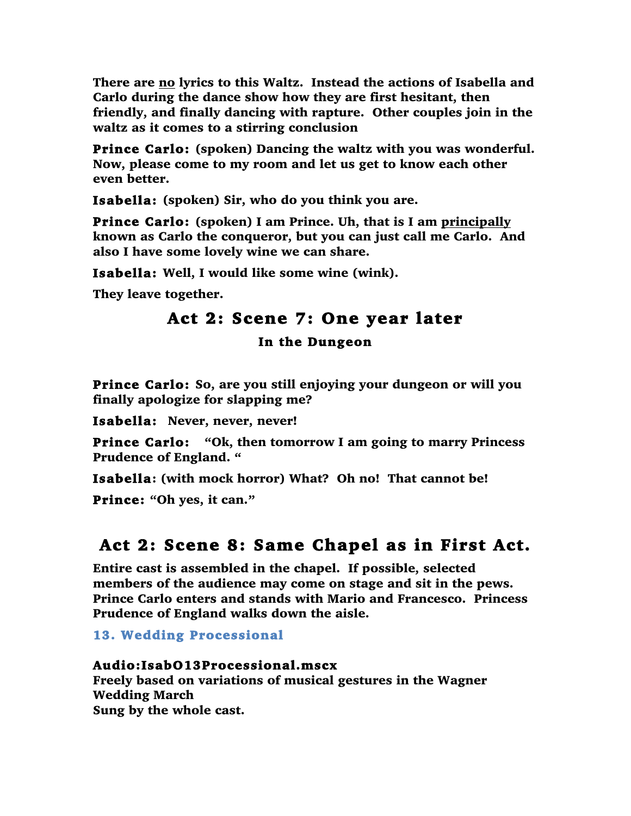There are no lyrics to this Waltz. Instead the actions of Isabella and Carlo during the dance show how they are first hesitant, then friendly, and finally dancing with rapture. Other couples join in the waltz as it comes to a stirring conclusion

Prince Carlo: (spoken) Dancing the waltz with you was wonderful. Now, please come to my room and let us get to know each other even better.

Isabella: (spoken) Sir, who do you think you are.

Prince Carlo: (spoken) I am Prince. Uh, that is I am principally known as Carlo the conqueror, but you can just call me Carlo. And also I have some lovely wine we can share.

Isabella: Well, I would like some wine (wink).

They leave together.

## Act 2: Scene 7: One year later

In the Dungeon

Prince Carlo: So, are you still enjoying your dungeon or will you finally apologize for slapping me?

Isabella: Never, never, never!

Prince Carlo: "Ok, then tomorrow I am going to marry Princess Prudence of England. "

Isabella: (with mock horror) What? Oh no! That cannot be!

Prince: "Oh yes, it can."

### Act 2: Scene 8: Same Chapel as in First Act.

Entire cast is assembled in the chapel. If possible, selected members of the audience may come on stage and sit in the pews. Prince Carlo enters and stands with Mario and Francesco. Princess Prudence of England walks down the aisle.

13. Wedding Processional

### Audio:IsabO13Processional.mscx

Freely based on variations of musical gestures in the Wagner Wedding March Sung by the whole cast.